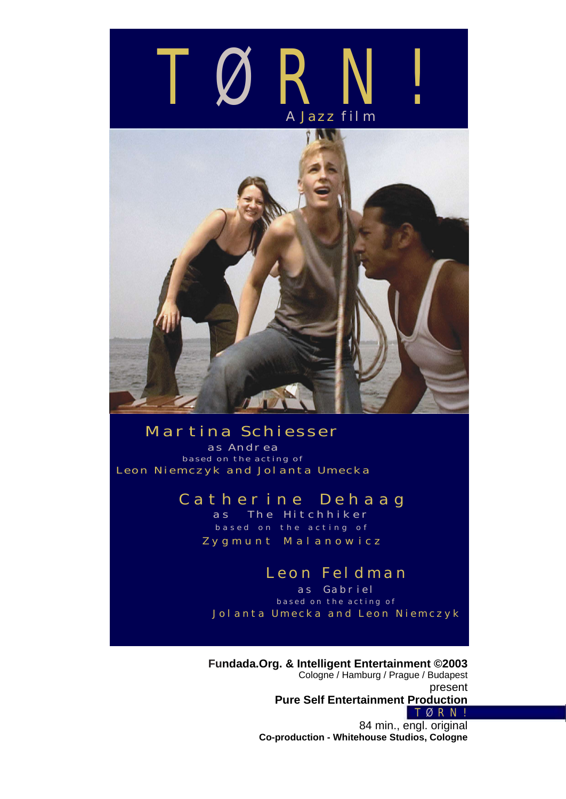



## *Martina Schiesser*

*as Andrea based on the acting of Leon Niemczyk and Jolanta Umecka*

## *Catherine Dehaag*

*as The Hitchhiker based on the acting of Zygmunt Malanowicz*

# *Leon Feldman*

*as Gabriel based on the acting of Jolanta Umecka and Leon Niemczyk*

**Fundada.Org. & Intelligent Entertainment ©2003** Cologne / Hamburg / Prague / Budapest present **Pure Self Entertainment Production** *T Ø RN!* 84 min., engl. original **Co-production - Whitehouse Studios, Cologne**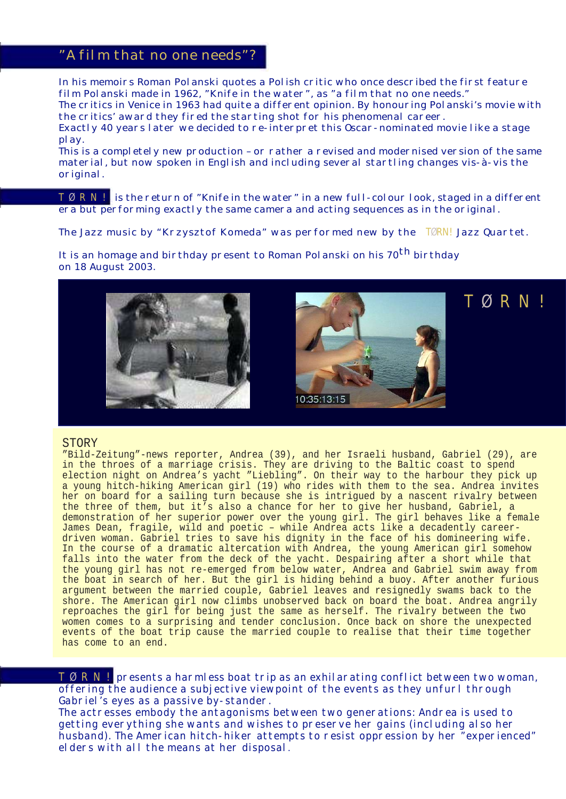## *"A film that no one needs"?*

*In his memoirs Roman Polanski quotes a Polish critic who once described the first feature film Polanski made in 1962, "Knife in the water", as "a film that no one needs."*

*The critics in Venice in 1963 had quite a different opinion. By honouring Polanski's movie with the critics' award they fired the starting shot for his phenomenal career.*

*Exactly 40 years later we decided to re-interpret this Oscar-nominated movie like a stage play.*

*This is a completely new production – or rather a revised and modernised version of the same material, but now spoken in English and including several startling changes vis-à-vis the original.*

*T Ø RN! is the return of "Knife in the water" in a new full-colour look, staged in a different era but performing exactly the same camera and acting sequences as in the original.*

*The Jazz music by "Krzysztof Komeda" was performed new by the TØRN! Jazz Quartet.*

*It is an homage and birthday present to Roman Polanski on his 70th birthday on 18 August 2003.*



*T Ø RN!*

#### STORY

"Bild-Zeitung"-news reporter, Andrea (39), and her Israeli husband, Gabriel (29), are in the throes of a marriage crisis. They are driving to the Baltic coast to spend election night on Andrea's yacht "Liebling". On their way to the harbour they pick up a young hitch-hiking American girl (19) who rides with them to the sea. Andrea invites her on board for a sailing turn because she is intrigued by a nascent rivalry between the three of them, but it's also a chance for her to give her husband, Gabriel, a demonstration of her superior power over the young girl. The girl behaves like a female James Dean, fragile, wild and poetic – while Andrea acts like a decadently careerdriven woman. Gabriel tries to save his dignity in the face of his domineering wife. In the course of a dramatic altercation with Andrea, the young American girl somehow falls into the water from the deck of the yacht. Despairing after a short while that the young girl has not re-emerged from below water, Andrea and Gabriel swim away from the boat in search of her. But the girl is hiding behind a buoy. After another furious argument between the married couple, Gabriel leaves and resignedly swams back to the shore. The American girl now climbs unobserved back on board the boat. Andrea angrily reproaches the girl for being just the same as herself. The rivalry between the two women comes to a surprising and tender conclusion. Once back on shore the unexpected events of the boat trip cause the married couple to realise that their time together has come to an end.

*T Ø RN! presents a harmless boat trip as an exhilarating conflict between two woman, offering the audience a subjective viewpoint of the events as they unfurl through Gabriel's eyes as a passive by-stander.*

*The actresses embody the antagonisms between two generations: Andrea is used to getting everything she wants and wishes to preserve her gains (including also her husband). The American hitch-hiker attempts to resist oppression by her "experienced" elders with all the means at her disposal*.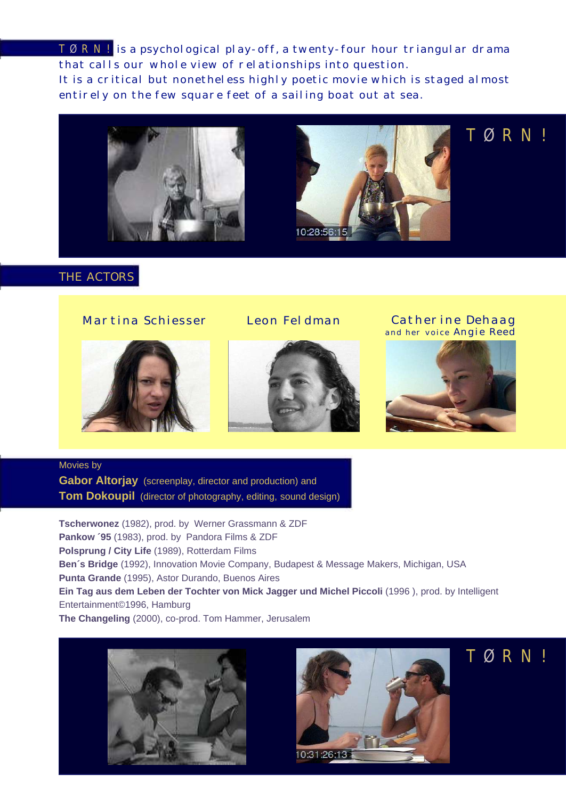*T Ø RN! is a psychological play-off, a twenty-four hour triangular drama that calls our whole view of relationships into question. It is a critical but nonetheless highly poetic movie which is staged almost entirely on the few square feet of a sailing boat out at sea.*





*T Ø RN!*

## *THE ACTORS*

### *Martina Schiesser Leon Feldman*





*Catherine Dehaag and her voice Angie Reed*



## Movies by **Gabor Altorjay** (screenplay, director and production) and **Tom Dokoupil** (director of photography, editing, sound design)

**Tscherwonez** (1982), prod. by Werner Grassmann & ZDF **Pankow ´95** (1983), prod. by Pandora Films & ZDF **Polsprung / City Life** (1989), Rotterdam Films **Ben´s Bridge** (1992), Innovation Movie Company, Budapest & Message Makers, Michigan, USA **Punta Grande** (1995), Astor Durando, Buenos Aires **Ein Tag aus dem Leben der Tochter von Mick Jagger und Michel Piccoli** (1996 ), prod. by Intelligent Entertainment©1996, Hamburg **The Changeling** (2000), co-prod. Tom Hammer, Jerusalem





# *T Ø RN!*